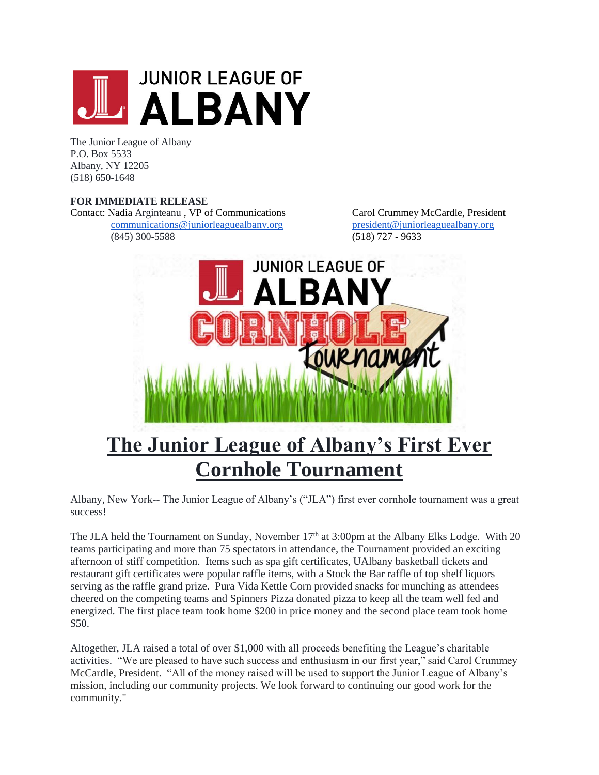

The Junior League of Albany P.O. Box 5533 Albany, NY 12205 (518) 650-1648

## **FOR IMMEDIATE RELEASE**

Contact: Nadia Arginteanu , VP of Communications Carol Crummey McCardle, President [communications@juniorleaguealbany.org](mailto:communications@juniorleaguealbany.org) [president@juniorleaguealbany.org](mailto:president@juniorleaguealbany.org) (845) 300-5588 (518) 727 - 9633



## **The Junior League of Albany's First Ever Cornhole Tournament**

Albany, New York-- The Junior League of Albany's ("JLA") first ever cornhole tournament was a great success!

The JLA held the Tournament on Sunday, November  $17<sup>th</sup>$  at 3:00pm at the Albany Elks Lodge. With 20 teams participating and more than 75 spectators in attendance, the Tournament provided an exciting afternoon of stiff competition. Items such as spa gift certificates, UAlbany basketball tickets and restaurant gift certificates were popular raffle items, with a Stock the Bar raffle of top shelf liquors serving as the raffle grand prize. Pura Vida Kettle Corn provided snacks for munching as attendees cheered on the competing teams and Spinners Pizza donated pizza to keep all the team well fed and energized. The first place team took home \$200 in price money and the second place team took home \$50.

Altogether, JLA raised a total of over \$1,000 with all proceeds benefiting the League's charitable activities. "We are pleased to have such success and enthusiasm in our first year," said Carol Crummey McCardle, President. "All of the money raised will be used to support the Junior League of Albany's mission, including our community projects. We look forward to continuing our good work for the community."